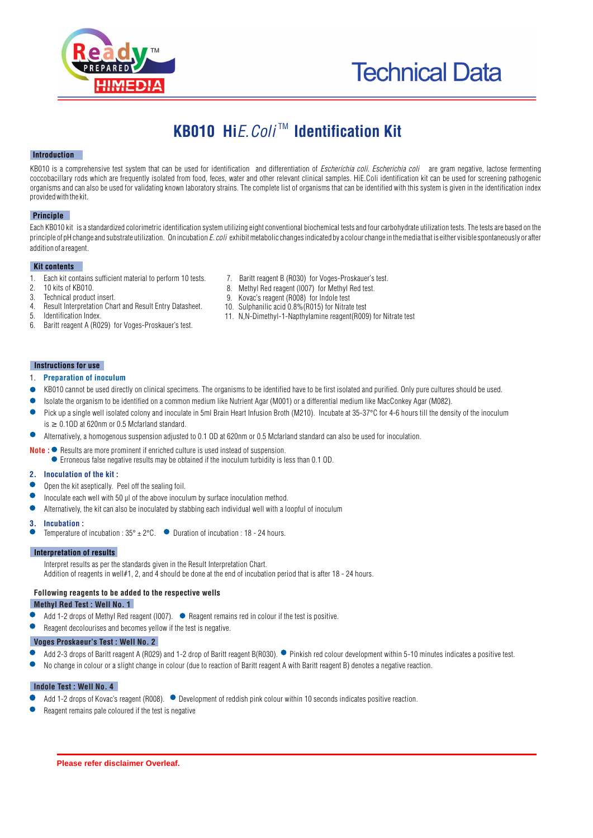



# KB010 Hi*E. Coli*<sup>™</sup> Identification Kit

## **Introduction**

KB010 is a comprehensive test system that can be used for identification and differentiation of *Escherichia coli. Escherichia coli* are gram negative, lactose fermenting coccobacillary rods which are frequently isolated from food, feces, water and other relevant clinical samples. HiE.Coli identification kit can be used for screening pathogenic organisms and can also be used for validating known laboratory strains. The complete list of organisms that can be identified with this system is given in the identification index provided with the kit.

## **Principle**

Each KB010 kit is a standardized colorimetric identification system utilizing eight conventional biochemical tests and four carbohydrate utilization tests. The tests are based on the principle of pH change and substrate utilization. On incubation *E. coli* exhibit metabolic changes indicated by a colour change in the media that is either visible spontaneously or after addition of a reagent.

## **Kit contents**

- 1. Each kit contains sufficient material to perform 10 tests.<br>2. 10 kits of KB010.
- 2. 10 kits of KB010.<br>3 Technical product
- 3. Technical product insert.
- 4. Result Interpretation Chart and Result Entry Datasheet.<br>5. Identification Index
- Identification Index.
- 6. Baritt reagent A (R029) for Voges-Proskauer's test.
- 7. Baritt reagent B (R030) for Voges-Proskauer's test.<br>8. Methyl Bed reagent (I007) for Methyl Bed test.
- 8. Methyl Red reagent (1007) for Methyl Red test.<br>9. Kovac's reagent (R008) for Indole test
- Kovac's reagent (R008) for Indole test
- 10. Sulphanilic acid 0.8%(R015) for Nitrate test
- 11. N,N-Dimethyl-1-Napthylamine reagent(R009) for Nitrate test

## **Instructions for use**

- 1. **Preparation of inoculum**
- KB010 cannot be used directly on clinical specimens. The organisms to be identified have to be first isolated and purified. Only pure cultures should be used.
- Isolate the organism to be identified on a common medium like Nutrient Agar (M001) or a differential medium like MacConkey Agar (M082).
- Pick up a single well isolated colony and inoculate in 5ml Brain Heart Infusion Broth (M210). Incubate at 35-37°C for 4-6 hours till the density of the inoculum  $is \geq 0.10D$  at 620nm or 0.5 Mcfarland standard.
- $\bullet$ Alternatively, a homogenous suspension adjusted to 0.1 OD at 620nm or 0.5 Mcfarland standard can also be used for inoculation.
- **Note :**  $\bullet$  Results are more prominent if enriched culture is used instead of suspension. Erroneous false negative results may be obtained if the inoculum turbidity is less than 0.1 OD.

## **2. Inoculation of the kit :**

- Open the kit aseptically. Peel off the sealing foil.
- Inoculate each well with 50 µl of the above inoculum by surface inoculation method.
- $\bullet$ Alternatively, the kit can also be inoculated by stabbing each individual well with a loopful of inoculum

#### **3. Incubation :**

Temperature of incubation :  $35^{\circ} \pm 2^{\circ}$ C.  $\bullet$  Duration of incubation : 18 - 24 hours.

## **Interpretation of results**

Interpret results as per the standards given in the Result Interpretation Chart. Addition of reagents in well#1, 2, and 4 should be done at the end of incubation period that is after 18 - 24 hours.

## **Following reagents to be added to the respective wells**

## **Methyl Red Test : Well No. 1**

- Add 1-2 drops of Methyl Red reagent (I007).  $\bullet$  Reagent remains red in colour if the test is positive.
- Reagent decolourises and becomes yellow if the test is negative.

## **Voges Proskaeur's Test : Well No. 2**

- Add 2-3 drops of Baritt reagent A (R029) and 1-2 drop of Baritt reagent B(R030). Pinkish red colour development within 5-10 minutes indicates a positive test. Δ
- No change in colour or a slight change in colour (due to reaction of Baritt reagent A with Baritt reagent B) denotes a negative reaction.

## **Indole Test : Well No. 4**

- Add 1-2 drops of Kovac's reagent (R008).  $\bullet$  Development of reddish pink colour within 10 seconds indicates positive reaction.  $\bullet$
- Reagent remains pale coloured if the test is negative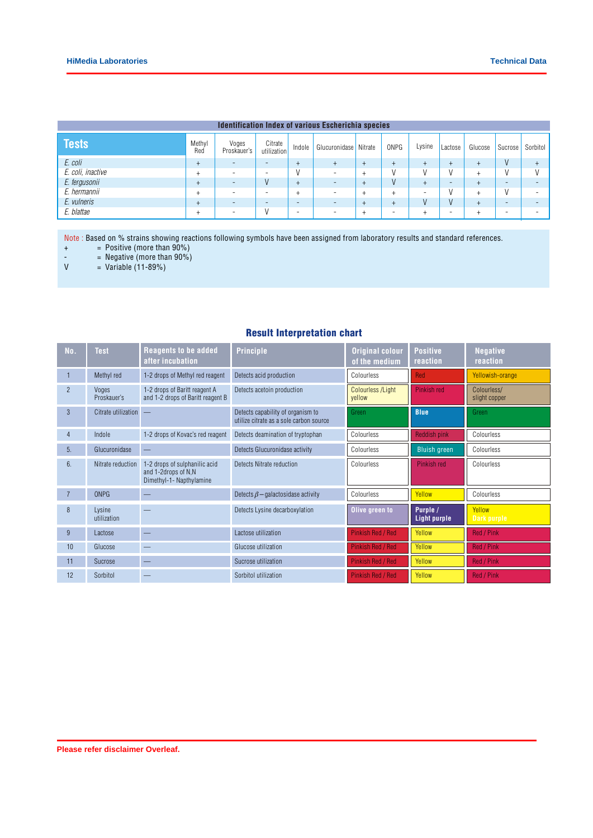| <b>Identification Index of various Escherichia species</b> |               |                          |                          |           |                       |        |                          |        |                          |         |         |               |
|------------------------------------------------------------|---------------|--------------------------|--------------------------|-----------|-----------------------|--------|--------------------------|--------|--------------------------|---------|---------|---------------|
| <b>Tests</b>                                               | Methyl<br>Red | Voges<br>Proskauer's     | Citrate<br>utilization   | Indole    | Glucuronidase Nitrate |        | ONPG                     | Lysine | Lactose                  | Glucose | Sucrose | Sorbitol      |
| E. coli                                                    | $\ddot{}$     | $\overline{\phantom{a}}$ | ۰                        | $\pm$     | $^{+}$                | $^{+}$ | $\pm$                    |        |                          |         |         | ÷             |
| E. coli, inactive                                          |               | $\overline{\phantom{a}}$ | $\overline{\phantom{a}}$ |           | - 2                   | +      |                          |        |                          |         |         | $\mathcal{L}$ |
| E. fergusonii                                              |               | $\overline{\phantom{a}}$ |                          |           | ۰                     | $^{+}$ |                          |        | $\overline{\phantom{a}}$ |         | -       | -             |
| E. hermannii                                               |               | -                        | ۰                        |           |                       | $^+$   | ÷                        |        |                          |         |         | -             |
| E. vulneris                                                |               | $\overline{\phantom{a}}$ | -                        | <b>11</b> |                       | $\pm$  |                          |        |                          |         | -       | -             |
| E. blattae                                                 |               | $\overline{\phantom{a}}$ |                          | -         | ż.                    | $^+$   | $\overline{\phantom{0}}$ |        |                          |         | -       | -             |

Note : Based on % strains showing reactions following symbols have been assigned from laboratory results and standard references.

+ = Positive (more than 90%)

-  $=$  Negative (more than  $90\%$ )

 $V = Vari$ able (11-89%)

## Result Interpretation chart

| No.            | <b>Test</b>           | <b>Reagents to be added</b><br>after incubation                                  | <b>Principle</b>                                                             | <b>Original colour</b><br>of the medium | <b>Positive</b><br>reaction | <b>Negative</b><br>reaction  |
|----------------|-----------------------|----------------------------------------------------------------------------------|------------------------------------------------------------------------------|-----------------------------------------|-----------------------------|------------------------------|
|                | Methyl red            | 1-2 drops of Methyl red reagent                                                  | Detects acid production                                                      | Colourless                              | <b>Red</b>                  | Yellowish-orange             |
| $\overline{2}$ | Voges<br>Proskauer's  | 1-2 drops of Baritt reagent A<br>and 1-2 drops of Baritt reagent B               | Detects acetoin production                                                   | <b>Colourless /Light</b><br>vellow      | Pinkish red                 | Colourless/<br>slight copper |
| 3              | Citrate utilization   |                                                                                  | Detects capability of organism to<br>utilize citrate as a sole carbon source | Green                                   | <b>Blue</b>                 | Green                        |
| $\overline{4}$ | Indole                | 1-2 drops of Kovac's red reagent                                                 | Detects deamination of tryptophan                                            | Colourless                              | Reddish pink                | Colourless                   |
| 5.             | Glucuronidase         |                                                                                  | Detects Glucuronidase activity                                               | Colourless                              | <b>Bluish green</b>         | Colourless                   |
| 6.             | Nitrate reduction     | 1-2 drops of sulphanilic acid<br>and 1-2drops of N,N<br>Dimethyl-1- Napthylamine | Detects Nitrate reduction                                                    | Colourless                              | Pinkish red                 | Colourless                   |
| $\overline{7}$ | <b>ONPG</b>           |                                                                                  | Detects $\beta$ – galactosidase activity                                     | Colourless                              | Yellow                      | Colourless                   |
| 8              | Lysine<br>utilization |                                                                                  | Detects Lysine decarboxylation                                               | Olive green to                          | Purple /<br>Light purple    | Yellow<br>Dark purple        |
| 9              | Lactose               |                                                                                  | Lactose utilization                                                          | <b>Pinkish Red / Red</b>                | Yellow                      | Red / Pink                   |
| 10             | Glucose               |                                                                                  | Glucose utilization                                                          | <b>Pinkish Red / Red</b>                | Yellow                      | Red / Pink                   |
| 11             | Sucrose               |                                                                                  | Sucrose utilization                                                          | <b>Pinkish Red / Red</b>                | Yellow                      | Red / Pink                   |
| 12             | Sorbitol              |                                                                                  | Sorbitol utilization                                                         | <b>Pinkish Red / Red</b>                | Yellow                      | Red / Pink                   |